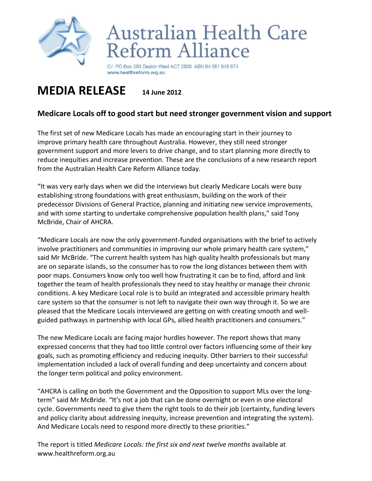

## Australian Health Care Reform Alliance

C/- PO Box 280 Deakin West ACT 2600 ABN 64 051 645 674 www.healthreform.org.au

## **MEDIA RELEASE <sup>14</sup> June <sup>2012</sup>**

## **Medicare Locals off to good start but need stronger government vision and support**

The first set of new Medicare Locals has made an encouraging start in their journey to improve primary health care throughout Australia. However, they still need stronger government support and more levers to drive change, and to start planning more directly to reduce inequities and increase prevention. These are the conclusions of a new research report from the Australian Health Care Reform Alliance today.

"It was very early days when we did the interviews but clearly Medicare Locals were busy establishing strong foundations with great enthusiasm, building on the work of their predecessor Divisions of General Practice, planning and initiating new service improvements, and with some starting to undertake comprehensive population health plans," said Tony McBride, Chair of AHCRA.

"Medicare Locals are now the only government-funded organisations with the brief to actively involve practitioners and communities in improving our whole primary health care system," said Mr McBride. "The current health system has high quality health professionals but many are on separate islands, so the consumer has to row the long distances between them with poor maps. Consumers know only too well how frustrating it can be to find, afford and link together the team of health professionals they need to stay healthy or manage their chronic conditions. A key Medicare Local role is to build an integrated and accessible primary health care system so that the consumer is not left to navigate their own way through it. So we are pleased that the Medicare Locals interviewed are getting on with creating smooth and wellguided pathways in partnership with local GPs, allied health practitioners and consumers."

The new Medicare Locals are facing major hurdles however. The report shows that many expressed concerns that they had too little control over factors influencing some of their key goals, such as promoting efficiency and reducing inequity. Other barriers to their successful implementation included a lack of overall funding and deep uncertainty and concern about the longer term political and policy environment.

"AHCRA is calling on both the Government and the Opposition to support MLs over the longterm" said Mr McBride. "It's not a job that can be done overnight or even in one electoral cycle. Governments need to give them the right tools to do their job (certainty, funding levers and policy clarity about addressing inequity, increase prevention and integrating the system). And Medicare Locals need to respond more directly to these priorities."

The report is titled *Medicare Locals: the first six and next twelve months* available at www.healthreform.org.au